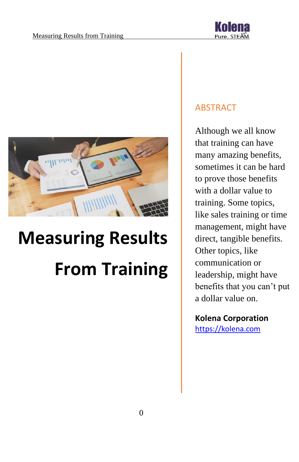

# **Measuring Results From Training**

# ABSTRACT

Although we all know that training can have many amazing benefits, sometimes it can be hard to prove those benefits with a dollar value to training. Some topics, like sales training or time management, might have direct, tangible benefits. Other topics, like communication or leadership, might have benefits that you can't put a dollar value on.

# **Kolena Corporation**

[https://kolena.com](https://kolena.com/)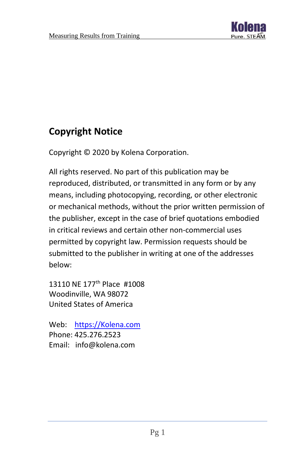

# **Copyright Notice**

Copyright © 2020 by Kolena Corporation.

All rights reserved. No part of this publication may be reproduced, distributed, or transmitted in any form or by any means, including photocopying, recording, or other electronic or mechanical methods, without the prior written permission of the publisher, except in the case of brief quotations embodied in critical reviews and certain other non-commercial uses permitted by copyright law. Permission requests should be submitted to the publisher in writing at one of the addresses below:

13110 NE 177<sup>th</sup> Place #1008 Woodinville, WA 98072 United States of America

Web: [https://Kolena.com](https://kolena.com/) Phone: 425.276.2523 Email: info@kolena.com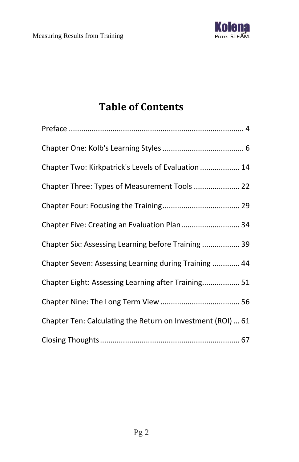

# **Table of Contents**

| Chapter Two: Kirkpatrick's Levels of Evaluation  14         |
|-------------------------------------------------------------|
| Chapter Three: Types of Measurement Tools  22               |
|                                                             |
| Chapter Five: Creating an Evaluation Plan 34                |
| Chapter Six: Assessing Learning before Training  39         |
| Chapter Seven: Assessing Learning during Training  44       |
| Chapter Eight: Assessing Learning after Training 51         |
|                                                             |
| Chapter Ten: Calculating the Return on Investment (ROI)  61 |
|                                                             |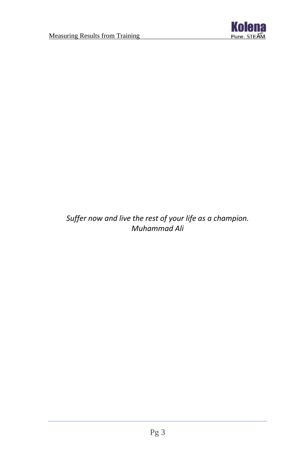

*Suffer now and live the rest of your life as a champion. Muhammad Ali*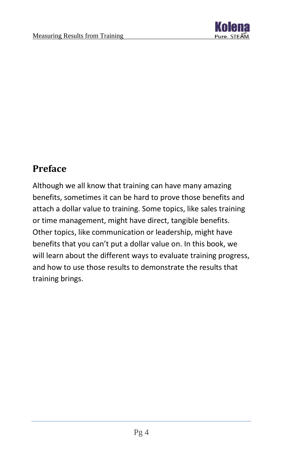

# <span id="page-4-0"></span>**Preface**

Although we all know that training can have many amazing benefits, sometimes it can be hard to prove those benefits and attach a dollar value to training. Some topics, like sales training or time management, might have direct, tangible benefits. Other topics, like communication or leadership, might have benefits that you can't put a dollar value on. In this book, we will learn about the different ways to evaluate training progress, and how to use those results to demonstrate the results that training brings.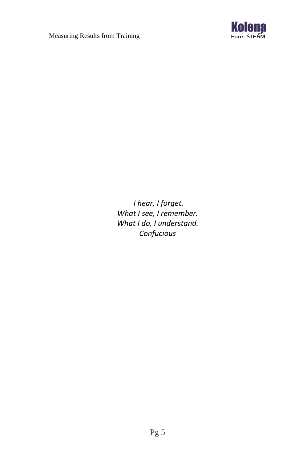

*I hear, I forget. What I see, I remember. What I do, I understand. Confucious*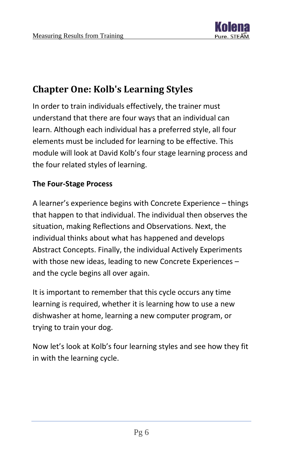

# <span id="page-6-0"></span>**Chapter One: Kolb's Learning Styles**

In order to train individuals effectively, the trainer must understand that there are four ways that an individual can learn. Although each individual has a preferred style, all four elements must be included for learning to be effective. This module will look at David Kolb's four stage learning process and the four related styles of learning.

# **The Four-Stage Process**

A learner's experience begins with Concrete Experience – things that happen to that individual. The individual then observes the situation, making Reflections and Observations. Next, the individual thinks about what has happened and develops Abstract Concepts. Finally, the individual Actively Experiments with those new ideas, leading to new Concrete Experiences – and the cycle begins all over again.

It is important to remember that this cycle occurs any time learning is required, whether it is learning how to use a new dishwasher at home, learning a new computer program, or trying to train your dog.

Now let's look at Kolb's four learning styles and see how they fit in with the learning cycle.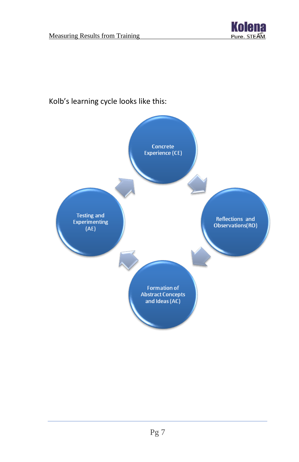



# Kolb's learning cycle looks like this: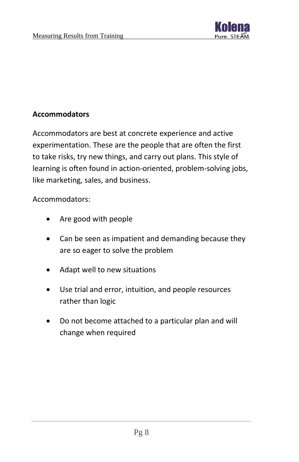

# **Accommodators**

Accommodators are best at concrete experience and active experimentation. These are the people that are often the first to take risks, try new things, and carry out plans. This style of learning is often found in action-oriented, problem-solving jobs, like marketing, sales, and business.

Accommodators:

- Are good with people
- Can be seen as impatient and demanding because they are so eager to solve the problem
- Adapt well to new situations
- Use trial and error, intuition, and people resources rather than logic
- Do not become attached to a particular plan and will change when required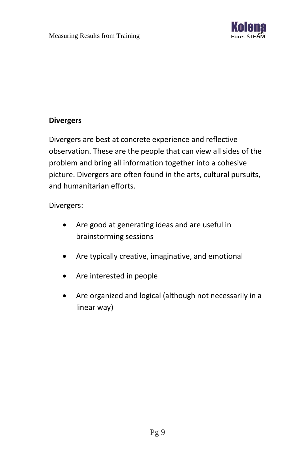

# **Divergers**

Divergers are best at concrete experience and reflective observation. These are the people that can view all sides of the problem and bring all information together into a cohesive picture. Divergers are often found in the arts, cultural pursuits, and humanitarian efforts.

#### Divergers:

- Are good at generating ideas and are useful in brainstorming sessions
- Are typically creative, imaginative, and emotional
- Are interested in people
- Are organized and logical (although not necessarily in a linear way)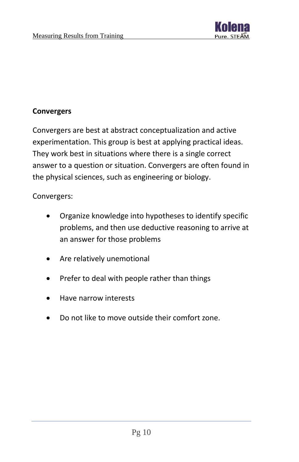

# **Convergers**

Convergers are best at abstract conceptualization and active experimentation. This group is best at applying practical ideas. They work best in situations where there is a single correct answer to a question or situation. Convergers are often found in the physical sciences, such as engineering or biology.

Convergers:

- Organize knowledge into hypotheses to identify specific problems, and then use deductive reasoning to arrive at an answer for those problems
- Are relatively unemotional
- Prefer to deal with people rather than things
- Have narrow interests
- Do not like to move outside their comfort zone.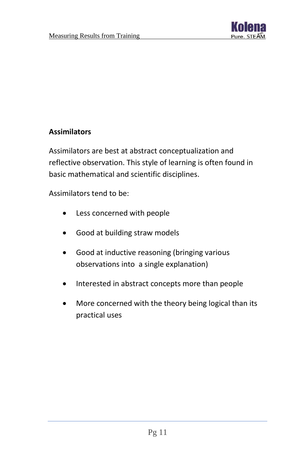

# **Assimilators**

Assimilators are best at abstract conceptualization and reflective observation. This style of learning is often found in basic mathematical and scientific disciplines.

Assimilators tend to be:

- Less concerned with people
- Good at building straw models
- Good at inductive reasoning (bringing various observations into a single explanation)
- Interested in abstract concepts more than people
- More concerned with the theory being logical than its practical uses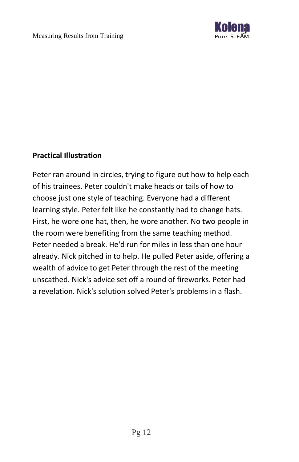

# **Practical Illustration**

Peter ran around in circles, trying to figure out how to help each of his trainees. Peter couldn't make heads or tails of how to choose just one style of teaching. Everyone had a different learning style. Peter felt like he constantly had to change hats. First, he wore one hat, then, he wore another. No two people in the room were benefiting from the same teaching method. Peter needed a break. He'd run for miles in less than one hour already. Nick pitched in to help. He pulled Peter aside, offering a wealth of advice to get Peter through the rest of the meeting unscathed. Nick's advice set off a round of fireworks. Peter had a revelation. Nick's solution solved Peter's problems in a flash.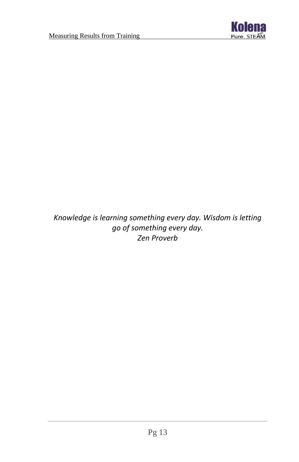

*Knowledge is learning something every day. Wisdom is letting go of something every day. Zen Proverb*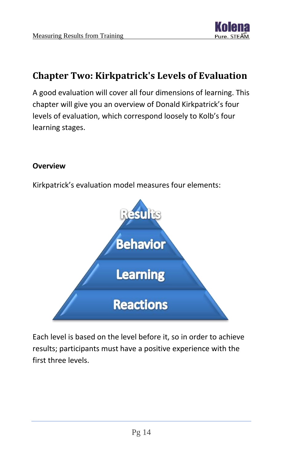

# <span id="page-14-0"></span>**Chapter Two: Kirkpatrick's Levels of Evaluation**

A good evaluation will cover all four dimensions of learning. This chapter will give you an overview of Donald Kirkpatrick's four levels of evaluation, which correspond loosely to Kolb's four learning stages.

# **Overview**

Kirkpatrick's evaluation model measures four elements:



Each level is based on the level before it, so in order to achieve results; participants must have a positive experience with the first three levels.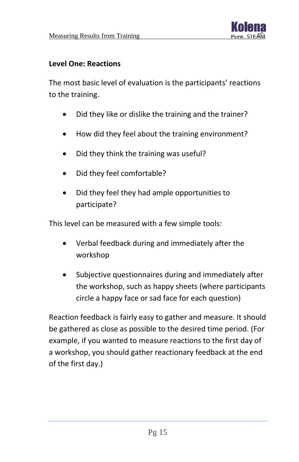

# **Level One: Reactions**

The most basic level of evaluation is the participants' reactions to the training.

- Did they like or dislike the training and the trainer?
- How did they feel about the training environment?
- Did they think the training was useful?
- Did they feel comfortable?
- Did they feel they had ample opportunities to participate?

This level can be measured with a few simple tools:

- Verbal feedback during and immediately after the workshop
- Subjective questionnaires during and immediately after the workshop, such as happy sheets (where participants circle a happy face or sad face for each question)

Reaction feedback is fairly easy to gather and measure. It should be gathered as close as possible to the desired time period. (For example, if you wanted to measure reactions to the first day of a workshop, you should gather reactionary feedback at the end of the first day.)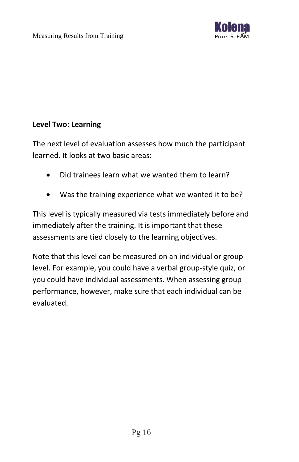

# **Level Two: Learning**

The next level of evaluation assesses how much the participant learned. It looks at two basic areas:

- Did trainees learn what we wanted them to learn?
- Was the training experience what we wanted it to be?

This level is typically measured via tests immediately before and immediately after the training. It is important that these assessments are tied closely to the learning objectives.

Note that this level can be measured on an individual or group level. For example, you could have a verbal group-style quiz, or you could have individual assessments. When assessing group performance, however, make sure that each individual can be evaluated.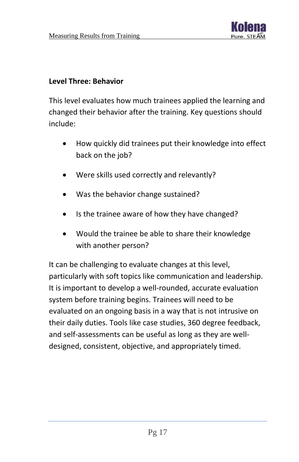

#### **Level Three: Behavior**

This level evaluates how much trainees applied the learning and changed their behavior after the training. Key questions should include:

- How quickly did trainees put their knowledge into effect back on the job?
- Were skills used correctly and relevantly?
- Was the behavior change sustained?
- Is the trainee aware of how they have changed?
- Would the trainee be able to share their knowledge with another person?

It can be challenging to evaluate changes at this level, particularly with soft topics like communication and leadership. It is important to develop a well-rounded, accurate evaluation system before training begins. Trainees will need to be evaluated on an ongoing basis in a way that is not intrusive on their daily duties. Tools like case studies, 360 degree feedback, and self-assessments can be useful as long as they are welldesigned, consistent, objective, and appropriately timed.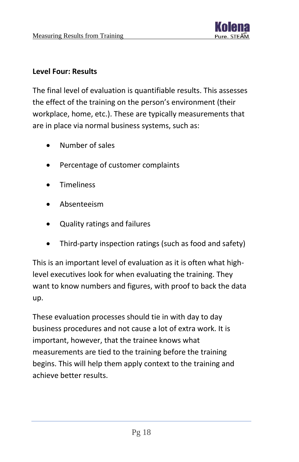

#### **Level Four: Results**

The final level of evaluation is quantifiable results. This assesses the effect of the training on the person's environment (their workplace, home, etc.). These are typically measurements that are in place via normal business systems, such as:

- Number of sales
- Percentage of customer complaints
- **Timeliness**
- Absenteeism
- Quality ratings and failures
- Third-party inspection ratings (such as food and safety)

This is an important level of evaluation as it is often what highlevel executives look for when evaluating the training. They want to know numbers and figures, with proof to back the data up.

These evaluation processes should tie in with day to day business procedures and not cause a lot of extra work. It is important, however, that the trainee knows what measurements are tied to the training before the training begins. This will help them apply context to the training and achieve better results.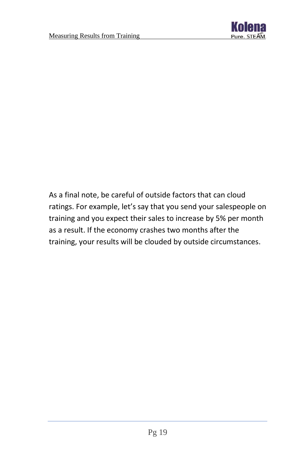

As a final note, be careful of outside factors that can cloud ratings. For example, let's say that you send your salespeople on training and you expect their sales to increase by 5% per month as a result. If the economy crashes two months after the training, your results will be clouded by outside circumstances.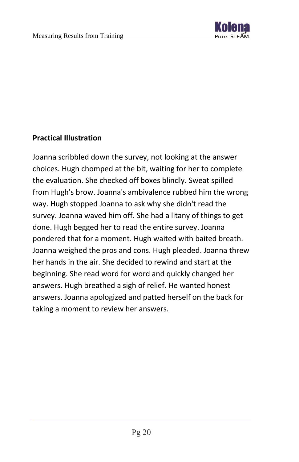

# **Practical Illustration**

Joanna scribbled down the survey, not looking at the answer choices. Hugh chomped at the bit, waiting for her to complete the evaluation. She checked off boxes blindly. Sweat spilled from Hugh's brow. Joanna's ambivalence rubbed him the wrong way. Hugh stopped Joanna to ask why she didn't read the survey. Joanna waved him off. She had a litany of things to get done. Hugh begged her to read the entire survey. Joanna pondered that for a moment. Hugh waited with baited breath. Joanna weighed the pros and cons. Hugh pleaded. Joanna threw her hands in the air. She decided to rewind and start at the beginning. She read word for word and quickly changed her answers. Hugh breathed a sigh of relief. He wanted honest answers. Joanna apologized and patted herself on the back for taking a moment to review her answers.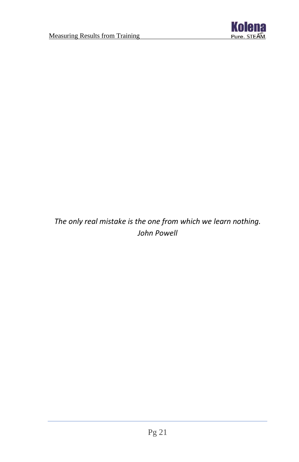

*The only real mistake is the one from which we learn nothing. John Powell*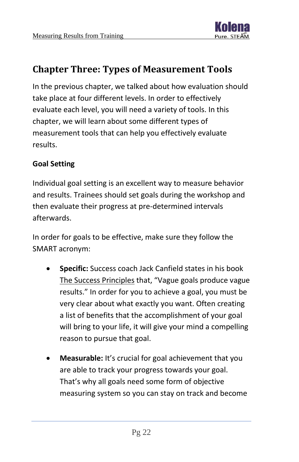

# <span id="page-22-0"></span>**Chapter Three: Types of Measurement Tools**

In the previous chapter, we talked about how evaluation should take place at four different levels. In order to effectively evaluate each level, you will need a variety of tools. In this chapter, we will learn about some different types of measurement tools that can help you effectively evaluate results.

# **Goal Setting**

Individual goal setting is an excellent way to measure behavior and results. Trainees should set goals during the workshop and then evaluate their progress at pre-determined intervals afterwards.

In order for goals to be effective, make sure they follow the SMART acronym:

- **Specific:** Success coach Jack Canfield states in his book The Success Principles that, "Vague goals produce vague results." In order for you to achieve a goal, you must be very clear about what exactly you want. Often creating a list of benefits that the accomplishment of your goal will bring to your life, it will give your mind a compelling reason to pursue that goal.
- **Measurable:** It's crucial for goal achievement that you are able to track your progress towards your goal. That's why all goals need some form of objective measuring system so you can stay on track and become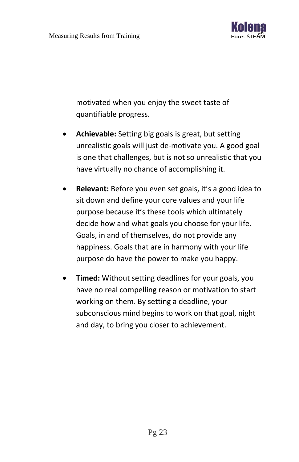

motivated when you enjoy the sweet taste of quantifiable progress.

- **Achievable:** Setting big goals is great, but setting unrealistic goals will just de-motivate you. A good goal is one that challenges, but is not so unrealistic that you have virtually no chance of accomplishing it.
- **Relevant:** Before you even set goals, it's a good idea to sit down and define your core values and your life purpose because it's these tools which ultimately decide how and what goals you choose for your life. Goals, in and of themselves, do not provide any happiness. Goals that are in harmony with your life purpose do have the power to make you happy.
- **Timed:** Without setting deadlines for your goals, you have no real compelling reason or motivation to start working on them. By setting a deadline, your subconscious mind begins to work on that goal, night and day, to bring you closer to achievement.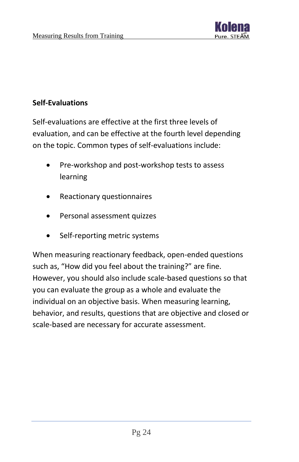

# **Self-Evaluations**

Self-evaluations are effective at the first three levels of evaluation, and can be effective at the fourth level depending on the topic. Common types of self-evaluations include:

- Pre-workshop and post-workshop tests to assess learning
- Reactionary questionnaires
- Personal assessment quizzes
- Self-reporting metric systems

When measuring reactionary feedback, open-ended questions such as, "How did you feel about the training?" are fine. However, you should also include scale-based questions so that you can evaluate the group as a whole and evaluate the individual on an objective basis. When measuring learning, behavior, and results, questions that are objective and closed or scale-based are necessary for accurate assessment.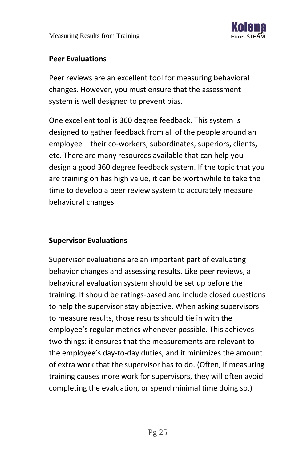

#### **Peer Evaluations**

Peer reviews are an excellent tool for measuring behavioral changes. However, you must ensure that the assessment system is well designed to prevent bias.

One excellent tool is 360 degree feedback. This system is designed to gather feedback from all of the people around an employee – their co-workers, subordinates, superiors, clients, etc. There are many resources available that can help you design a good 360 degree feedback system. If the topic that you are training on has high value, it can be worthwhile to take the time to develop a peer review system to accurately measure behavioral changes.

# **Supervisor Evaluations**

Supervisor evaluations are an important part of evaluating behavior changes and assessing results. Like peer reviews, a behavioral evaluation system should be set up before the training. It should be ratings-based and include closed questions to help the supervisor stay objective. When asking supervisors to measure results, those results should tie in with the employee's regular metrics whenever possible. This achieves two things: it ensures that the measurements are relevant to the employee's day-to-day duties, and it minimizes the amount of extra work that the supervisor has to do. (Often, if measuring training causes more work for supervisors, they will often avoid completing the evaluation, or spend minimal time doing so.)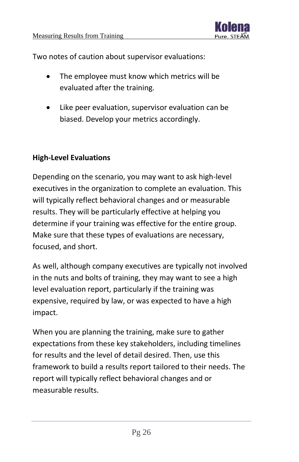

Two notes of caution about supervisor evaluations:

- The employee must know which metrics will be evaluated after the training.
- Like peer evaluation, supervisor evaluation can be biased. Develop your metrics accordingly.

# **High-Level Evaluations**

Depending on the scenario, you may want to ask high-level executives in the organization to complete an evaluation. This will typically reflect behavioral changes and or measurable results. They will be particularly effective at helping you determine if your training was effective for the entire group. Make sure that these types of evaluations are necessary, focused, and short.

As well, although company executives are typically not involved in the nuts and bolts of training, they may want to see a high level evaluation report, particularly if the training was expensive, required by law, or was expected to have a high impact.

When you are planning the training, make sure to gather expectations from these key stakeholders, including timelines for results and the level of detail desired. Then, use this framework to build a results report tailored to their needs. The report will typically reflect behavioral changes and or measurable results.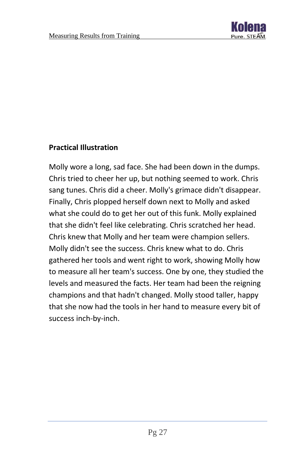

# **Practical Illustration**

Molly wore a long, sad face. She had been down in the dumps. Chris tried to cheer her up, but nothing seemed to work. Chris sang tunes. Chris did a cheer. Molly's grimace didn't disappear. Finally, Chris plopped herself down next to Molly and asked what she could do to get her out of this funk. Molly explained that she didn't feel like celebrating. Chris scratched her head. Chris knew that Molly and her team were champion sellers. Molly didn't see the success. Chris knew what to do. Chris gathered her tools and went right to work, showing Molly how to measure all her team's success. One by one, they studied the levels and measured the facts. Her team had been the reigning champions and that hadn't changed. Molly stood taller, happy that she now had the tools in her hand to measure every bit of success inch-by-inch.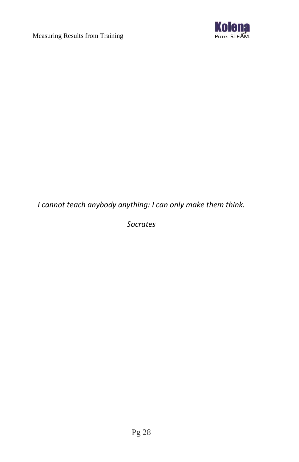

*I cannot teach anybody anything: I can only make them think.*

*Socrates*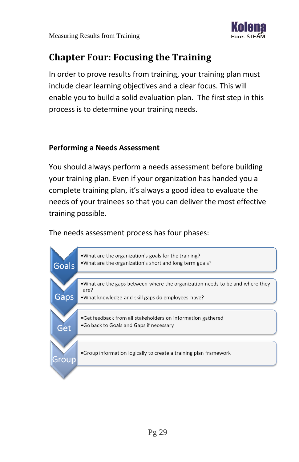

# <span id="page-29-0"></span>**Chapter Four: Focusing the Training**

In order to prove results from training, your training plan must include clear learning objectives and a clear focus. This will enable you to build a solid evaluation plan. The first step in this process is to determine your training needs.

#### **Performing a Needs Assessment**

You should always perform a needs assessment before building your training plan. Even if your organization has handed you a complete training plan, it's always a good idea to evaluate the needs of your trainees so that you can deliver the most effective training possible.

The needs assessment process has four phases:

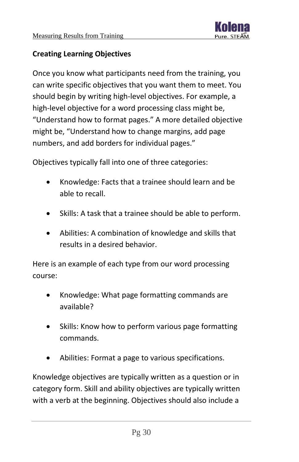

# **Creating Learning Objectives**

Once you know what participants need from the training, you can write specific objectives that you want them to meet. You should begin by writing high-level objectives. For example, a high-level objective for a word processing class might be, "Understand how to format pages." A more detailed objective might be, "Understand how to change margins, add page numbers, and add borders for individual pages."

Objectives typically fall into one of three categories:

- Knowledge: Facts that a trainee should learn and be able to recall.
- Skills: A task that a trainee should be able to perform.
- Abilities: A combination of knowledge and skills that results in a desired behavior.

Here is an example of each type from our word processing course:

- Knowledge: What page formatting commands are available?
- Skills: Know how to perform various page formatting commands.
- Abilities: Format a page to various specifications.

Knowledge objectives are typically written as a question or in category form. Skill and ability objectives are typically written with a verb at the beginning. Objectives should also include a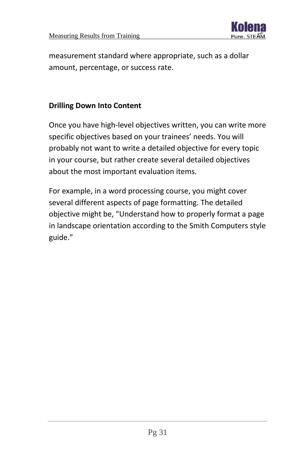

measurement standard where appropriate, such as a dollar amount, percentage, or success rate.

# **Drilling Down Into Content**

Once you have high-level objectives written, you can write more specific objectives based on your trainees' needs. You will probably not want to write a detailed objective for every topic in your course, but rather create several detailed objectives about the most important evaluation items.

For example, in a word processing course, you might cover several different aspects of page formatting. The detailed objective might be, "Understand how to properly format a page in landscape orientation according to the Smith Computers style guide."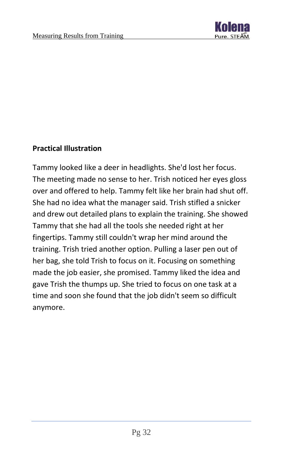

# **Practical Illustration**

Tammy looked like a deer in headlights. She'd lost her focus. The meeting made no sense to her. Trish noticed her eyes gloss over and offered to help. Tammy felt like her brain had shut off. She had no idea what the manager said. Trish stifled a snicker and drew out detailed plans to explain the training. She showed Tammy that she had all the tools she needed right at her fingertips. Tammy still couldn't wrap her mind around the training. Trish tried another option. Pulling a laser pen out of her bag, she told Trish to focus on it. Focusing on something made the job easier, she promised. Tammy liked the idea and gave Trish the thumps up. She tried to focus on one task at a time and soon she found that the job didn't seem so difficult anymore.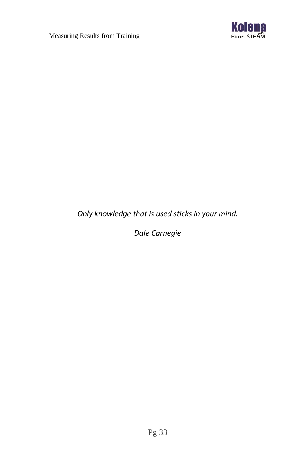

*Only knowledge that is used sticks in your mind.*

*Dale Carnegie*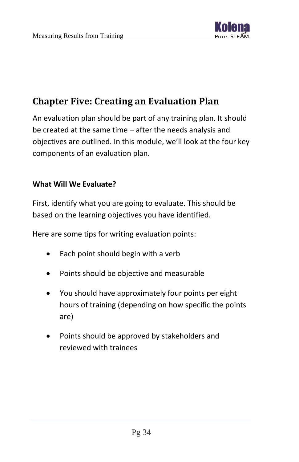

# <span id="page-34-0"></span>**Chapter Five: Creating an Evaluation Plan**

An evaluation plan should be part of any training plan. It should be created at the same time – after the needs analysis and objectives are outlined. In this module, we'll look at the four key components of an evaluation plan.

# **What Will We Evaluate?**

First, identify what you are going to evaluate. This should be based on the learning objectives you have identified.

Here are some tips for writing evaluation points:

- Each point should begin with a verb
- Points should be objective and measurable
- You should have approximately four points per eight hours of training (depending on how specific the points are)
- Points should be approved by stakeholders and reviewed with trainees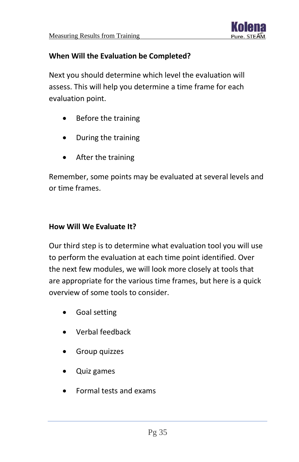

# **When Will the Evaluation be Completed?**

Next you should determine which level the evaluation will assess. This will help you determine a time frame for each evaluation point.

- Before the training
- During the training
- After the training

Remember, some points may be evaluated at several levels and or time frames.

# **How Will We Evaluate It?**

Our third step is to determine what evaluation tool you will use to perform the evaluation at each time point identified. Over the next few modules, we will look more closely at tools that are appropriate for the various time frames, but here is a quick overview of some tools to consider.

- Goal setting
- Verbal feedback
- Group quizzes
- Quiz games
- Formal tests and exams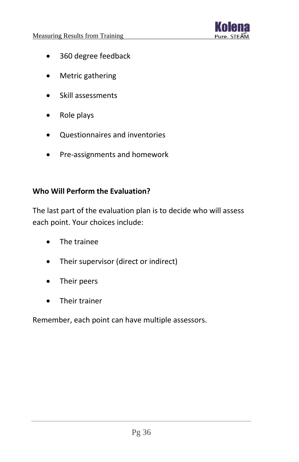

- 360 degree feedback
- Metric gathering
- Skill assessments
- Role plays
- Questionnaires and inventories
- Pre-assignments and homework

# **Who Will Perform the Evaluation?**

The last part of the evaluation plan is to decide who will assess each point. Your choices include:

- The trainee
- Their supervisor (direct or indirect)
- Their peers
- Their trainer

Remember, each point can have multiple assessors.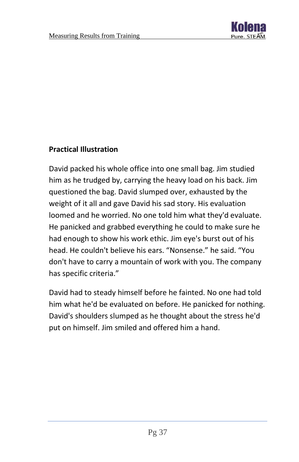

# **Practical Illustration**

David packed his whole office into one small bag. Jim studied him as he trudged by, carrying the heavy load on his back. Jim questioned the bag. David slumped over, exhausted by the weight of it all and gave David his sad story. His evaluation loomed and he worried. No one told him what they'd evaluate. He panicked and grabbed everything he could to make sure he had enough to show his work ethic. Jim eye's burst out of his head. He couldn't believe his ears. "Nonsense." he said. "You don't have to carry a mountain of work with you. The company has specific criteria."

David had to steady himself before he fainted. No one had told him what he'd be evaluated on before. He panicked for nothing. David's shoulders slumped as he thought about the stress he'd put on himself. Jim smiled and offered him a hand.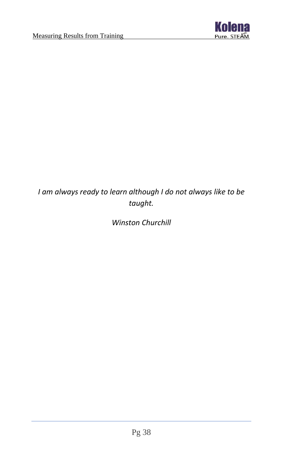

# *I am always ready to learn although I do not always like to be taught.*

# *Winston Churchill*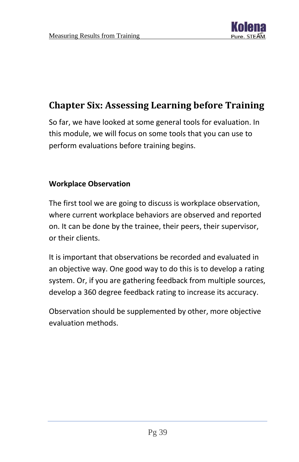

# <span id="page-39-0"></span>**Chapter Six: Assessing Learning before Training**

So far, we have looked at some general tools for evaluation. In this module, we will focus on some tools that you can use to perform evaluations before training begins.

#### **Workplace Observation**

The first tool we are going to discuss is workplace observation, where current workplace behaviors are observed and reported on. It can be done by the trainee, their peers, their supervisor, or their clients.

It is important that observations be recorded and evaluated in an objective way. One good way to do this is to develop a rating system. Or, if you are gathering feedback from multiple sources, develop a 360 degree feedback rating to increase its accuracy.

Observation should be supplemented by other, more objective evaluation methods.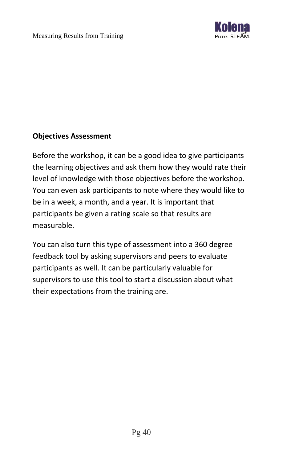

# **Objectives Assessment**

Before the workshop, it can be a good idea to give participants the learning objectives and ask them how they would rate their level of knowledge with those objectives before the workshop. You can even ask participants to note where they would like to be in a week, a month, and a year. It is important that participants be given a rating scale so that results are measurable.

You can also turn this type of assessment into a 360 degree feedback tool by asking supervisors and peers to evaluate participants as well. It can be particularly valuable for supervisors to use this tool to start a discussion about what their expectations from the training are.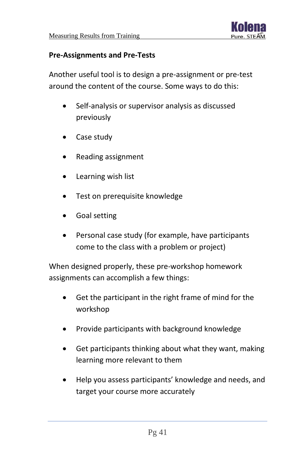

#### **Pre-Assignments and Pre-Tests**

Another useful tool is to design a pre-assignment or pre-test around the content of the course. Some ways to do this:

- Self-analysis or supervisor analysis as discussed previously
- Case study
- Reading assignment
- Learning wish list
- Test on prerequisite knowledge
- Goal setting
- Personal case study (for example, have participants come to the class with a problem or project)

When designed properly, these pre-workshop homework assignments can accomplish a few things:

- Get the participant in the right frame of mind for the workshop
- Provide participants with background knowledge
- Get participants thinking about what they want, making learning more relevant to them
- Help you assess participants' knowledge and needs, and target your course more accurately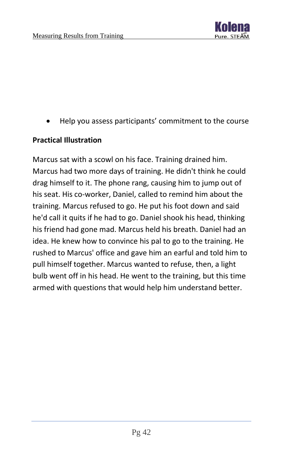

• Help you assess participants' commitment to the course

#### **Practical Illustration**

Marcus sat with a scowl on his face. Training drained him. Marcus had two more days of training. He didn't think he could drag himself to it. The phone rang, causing him to jump out of his seat. His co-worker, Daniel, called to remind him about the training. Marcus refused to go. He put his foot down and said he'd call it quits if he had to go. Daniel shook his head, thinking his friend had gone mad. Marcus held his breath. Daniel had an idea. He knew how to convince his pal to go to the training. He rushed to Marcus' office and gave him an earful and told him to pull himself together. Marcus wanted to refuse, then, a light bulb went off in his head. He went to the training, but this time armed with questions that would help him understand better.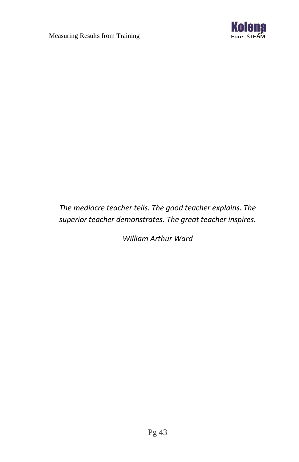

# *The mediocre teacher tells. The good teacher explains. The superior teacher demonstrates. The great teacher inspires.*

*William Arthur Ward*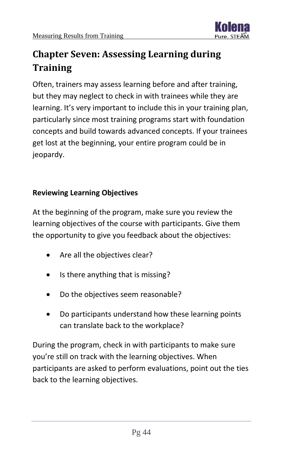

# <span id="page-44-0"></span>**Chapter Seven: Assessing Learning during Training**

Often, trainers may assess learning before and after training, but they may neglect to check in with trainees while they are learning. It's very important to include this in your training plan, particularly since most training programs start with foundation concepts and build towards advanced concepts. If your trainees get lost at the beginning, your entire program could be in jeopardy.

# **Reviewing Learning Objectives**

At the beginning of the program, make sure you review the learning objectives of the course with participants. Give them the opportunity to give you feedback about the objectives:

- Are all the objectives clear?
- Is there anything that is missing?
- Do the objectives seem reasonable?
- Do participants understand how these learning points can translate back to the workplace?

During the program, check in with participants to make sure you're still on track with the learning objectives. When participants are asked to perform evaluations, point out the ties back to the learning objectives.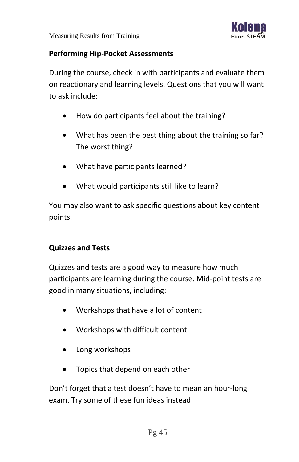

#### **Performing Hip-Pocket Assessments**

During the course, check in with participants and evaluate them on reactionary and learning levels. Questions that you will want to ask include:

- How do participants feel about the training?
- What has been the best thing about the training so far? The worst thing?
- What have participants learned?
- What would participants still like to learn?

You may also want to ask specific questions about key content points.

# **Quizzes and Tests**

Quizzes and tests are a good way to measure how much participants are learning during the course. Mid-point tests are good in many situations, including:

- Workshops that have a lot of content
- Workshops with difficult content
- Long workshops
- Topics that depend on each other

Don't forget that a test doesn't have to mean an hour-long exam. Try some of these fun ideas instead: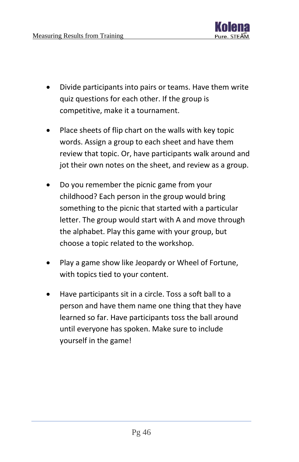

- Divide participants into pairs or teams. Have them write quiz questions for each other. If the group is competitive, make it a tournament.
- Place sheets of flip chart on the walls with key topic words. Assign a group to each sheet and have them review that topic. Or, have participants walk around and jot their own notes on the sheet, and review as a group.
- Do you remember the picnic game from your childhood? Each person in the group would bring something to the picnic that started with a particular letter. The group would start with A and move through the alphabet. Play this game with your group, but choose a topic related to the workshop.
- Play a game show like Jeopardy or Wheel of Fortune, with topics tied to your content.
- Have participants sit in a circle. Toss a soft ball to a person and have them name one thing that they have learned so far. Have participants toss the ball around until everyone has spoken. Make sure to include yourself in the game!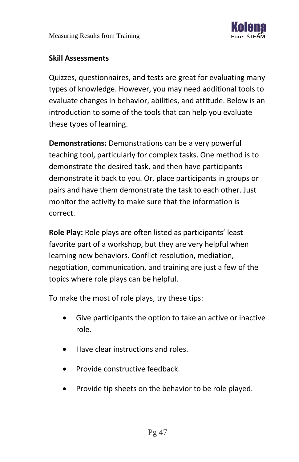

# **Skill Assessments**

Quizzes, questionnaires, and tests are great for evaluating many types of knowledge. However, you may need additional tools to evaluate changes in behavior, abilities, and attitude. Below is an introduction to some of the tools that can help you evaluate these types of learning.

**Demonstrations:** Demonstrations can be a very powerful teaching tool, particularly for complex tasks. One method is to demonstrate the desired task, and then have participants demonstrate it back to you. Or, place participants in groups or pairs and have them demonstrate the task to each other. Just monitor the activity to make sure that the information is correct.

**Role Play:** Role plays are often listed as participants' least favorite part of a workshop, but they are very helpful when learning new behaviors. Conflict resolution, mediation, negotiation, communication, and training are just a few of the topics where role plays can be helpful.

To make the most of role plays, try these tips:

- Give participants the option to take an active or inactive role.
- Have clear instructions and roles.
- Provide constructive feedback.
- Provide tip sheets on the behavior to be role played.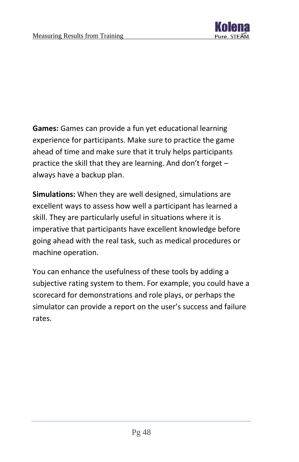

**Games:** Games can provide a fun yet educational learning experience for participants. Make sure to practice the game ahead of time and make sure that it truly helps participants practice the skill that they are learning. And don't forget – always have a backup plan.

**Simulations:** When they are well designed, simulations are excellent ways to assess how well a participant has learned a skill. They are particularly useful in situations where it is imperative that participants have excellent knowledge before going ahead with the real task, such as medical procedures or machine operation.

You can enhance the usefulness of these tools by adding a subjective rating system to them. For example, you could have a scorecard for demonstrations and role plays, or perhaps the simulator can provide a report on the user's success and failure rates.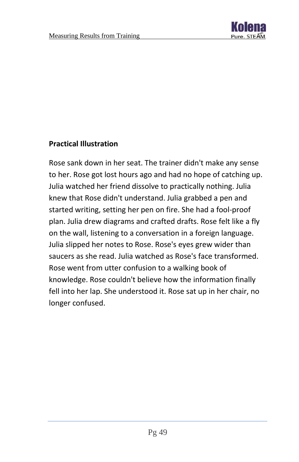

# **Practical Illustration**

Rose sank down in her seat. The trainer didn't make any sense to her. Rose got lost hours ago and had no hope of catching up. Julia watched her friend dissolve to practically nothing. Julia knew that Rose didn't understand. Julia grabbed a pen and started writing, setting her pen on fire. She had a fool-proof plan. Julia drew diagrams and crafted drafts. Rose felt like a fly on the wall, listening to a conversation in a foreign language. Julia slipped her notes to Rose. Rose's eyes grew wider than saucers as she read. Julia watched as Rose's face transformed. Rose went from utter confusion to a walking book of knowledge. Rose couldn't believe how the information finally fell into her lap. She understood it. Rose sat up in her chair, no longer confused.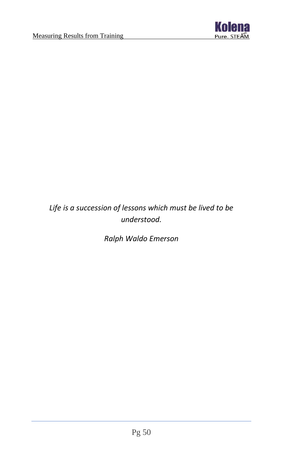

# *Life is a succession of lessons which must be lived to be understood.*

*Ralph Waldo Emerson*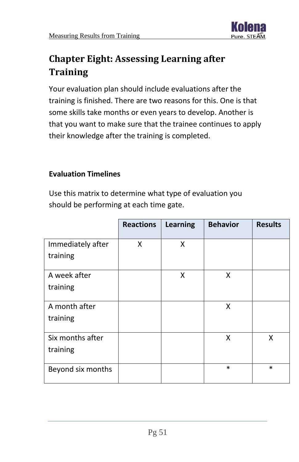

# <span id="page-51-0"></span>**Chapter Eight: Assessing Learning after Training**

Your evaluation plan should include evaluations after the training is finished. There are two reasons for this. One is that some skills take months or even years to develop. Another is that you want to make sure that the trainee continues to apply their knowledge after the training is completed.

# **Evaluation Timelines**

Use this matrix to determine what type of evaluation you should be performing at each time gate.

|                   | <b>Reactions</b> | <b>Learning</b> | <b>Behavior</b> | <b>Results</b> |
|-------------------|------------------|-----------------|-----------------|----------------|
| Immediately after | X                | X               |                 |                |
| training          |                  |                 |                 |                |
| A week after      |                  | x               | Χ               |                |
| training          |                  |                 |                 |                |
| A month after     |                  |                 | Χ               |                |
| training          |                  |                 |                 |                |
| Six months after  |                  |                 | Χ               | X              |
| training          |                  |                 |                 |                |
| Beyond six months |                  |                 | $\ast$          | $\ast$         |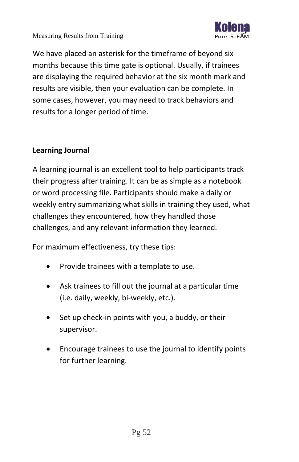

We have placed an asterisk for the timeframe of beyond six months because this time gate is optional. Usually, if trainees are displaying the required behavior at the six month mark and results are visible, then your evaluation can be complete. In some cases, however, you may need to track behaviors and results for a longer period of time.

# **Learning Journal**

A learning journal is an excellent tool to help participants track their progress after training. It can be as simple as a notebook or word processing file. Participants should make a daily or weekly entry summarizing what skills in training they used, what challenges they encountered, how they handled those challenges, and any relevant information they learned.

For maximum effectiveness, try these tips:

- Provide trainees with a template to use.
- Ask trainees to fill out the journal at a particular time (i.e. daily, weekly, bi-weekly, etc.).
- Set up check-in points with you, a buddy, or their supervisor.
- Encourage trainees to use the journal to identify points for further learning.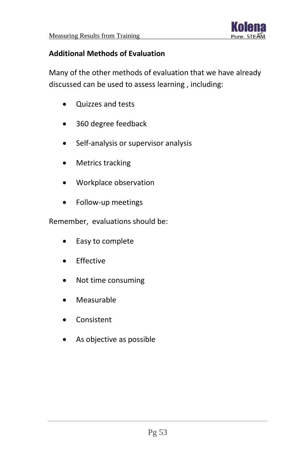

# **Additional Methods of Evaluation**

Many of the other methods of evaluation that we have already discussed can be used to assess learning , including:

- Quizzes and tests
- 360 degree feedback
- Self-analysis or supervisor analysis
- Metrics tracking
- Workplace observation
- Follow-up meetings

Remember, evaluations should be:

- Easy to complete
- Effective
- Not time consuming
- Measurable
- Consistent
- As objective as possible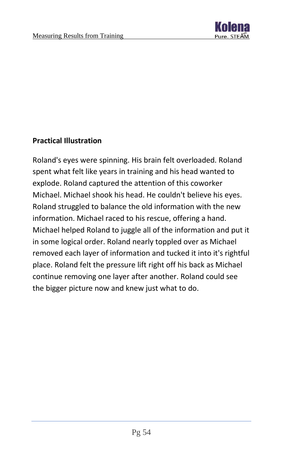

# **Practical Illustration**

Roland's eyes were spinning. His brain felt overloaded. Roland spent what felt like years in training and his head wanted to explode. Roland captured the attention of this coworker Michael. Michael shook his head. He couldn't believe his eyes. Roland struggled to balance the old information with the new information. Michael raced to his rescue, offering a hand. Michael helped Roland to juggle all of the information and put it in some logical order. Roland nearly toppled over as Michael removed each layer of information and tucked it into it's rightful place. Roland felt the pressure lift right off his back as Michael continue removing one layer after another. Roland could see the bigger picture now and knew just what to do.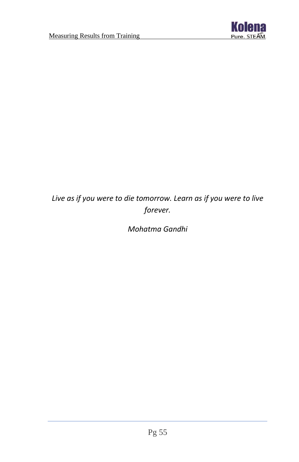

# *Live as if you were to die tomorrow. Learn as if you were to live forever.*

*Mohatma Gandhi*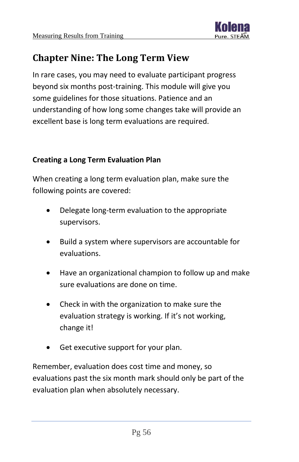

# <span id="page-56-0"></span>**Chapter Nine: The Long Term View**

In rare cases, you may need to evaluate participant progress beyond six months post-training. This module will give you some guidelines for those situations. Patience and an understanding of how long some changes take will provide an excellent base is long term evaluations are required.

# **Creating a Long Term Evaluation Plan**

When creating a long term evaluation plan, make sure the following points are covered:

- Delegate long-term evaluation to the appropriate supervisors.
- Build a system where supervisors are accountable for evaluations.
- Have an organizational champion to follow up and make sure evaluations are done on time.
- Check in with the organization to make sure the evaluation strategy is working. If it's not working, change it!
- Get executive support for your plan.

Remember, evaluation does cost time and money, so evaluations past the six month mark should only be part of the evaluation plan when absolutely necessary.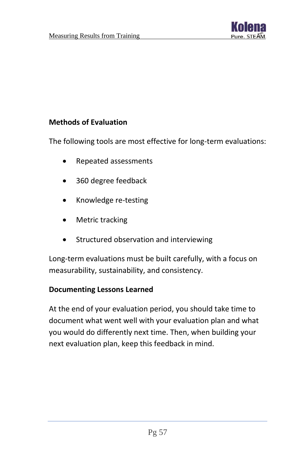

# **Methods of Evaluation**

The following tools are most effective for long-term evaluations:

- Repeated assessments
- 360 degree feedback
- Knowledge re-testing
- Metric tracking
- Structured observation and interviewing

Long-term evaluations must be built carefully, with a focus on measurability, sustainability, and consistency.

#### **Documenting Lessons Learned**

At the end of your evaluation period, you should take time to document what went well with your evaluation plan and what you would do differently next time. Then, when building your next evaluation plan, keep this feedback in mind.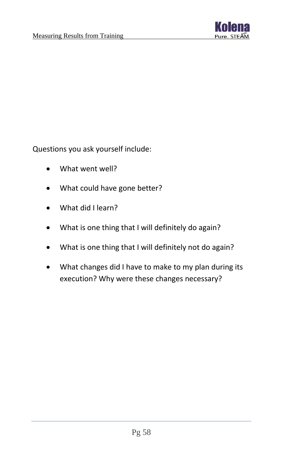

Questions you ask yourself include:

- What went well?
- What could have gone better?
- What did I learn?
- What is one thing that I will definitely do again?
- What is one thing that I will definitely not do again?
- What changes did I have to make to my plan during its execution? Why were these changes necessary?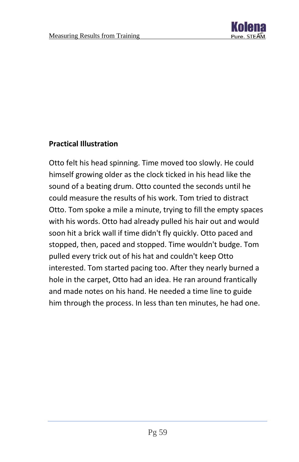

# **Practical Illustration**

Otto felt his head spinning. Time moved too slowly. He could himself growing older as the clock ticked in his head like the sound of a beating drum. Otto counted the seconds until he could measure the results of his work. Tom tried to distract Otto. Tom spoke a mile a minute, trying to fill the empty spaces with his words. Otto had already pulled his hair out and would soon hit a brick wall if time didn't fly quickly. Otto paced and stopped, then, paced and stopped. Time wouldn't budge. Tom pulled every trick out of his hat and couldn't keep Otto interested. Tom started pacing too. After they nearly burned a hole in the carpet, Otto had an idea. He ran around frantically and made notes on his hand. He needed a time line to guide him through the process. In less than ten minutes, he had one.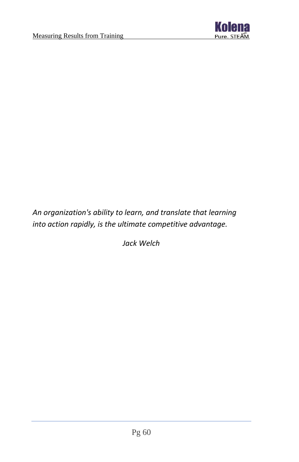

# *An organization's ability to learn, and translate that learning into action rapidly, is the ultimate competitive advantage.*

*Jack Welch*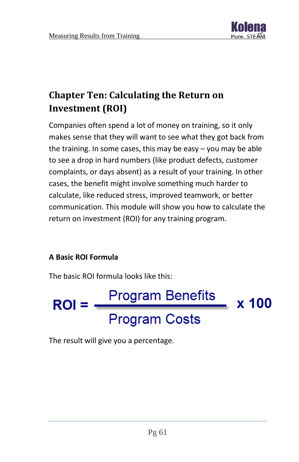

# <span id="page-61-0"></span>**Chapter Ten: Calculating the Return on Investment (ROI)**

Companies often spend a lot of money on training, so it only makes sense that they will want to see what they got back from the training. In some cases, this may be easy – you may be able to see a drop in hard numbers (like product defects, customer complaints, or days absent) as a result of your training. In other cases, the benefit might involve something much harder to calculate, like reduced stress, improved teamwork, or better communication. This module will show you how to calculate the return on investment (ROI) for any training program.

# **A Basic ROI Formula**

The basic ROI formula looks like this:



The result will give you a percentage.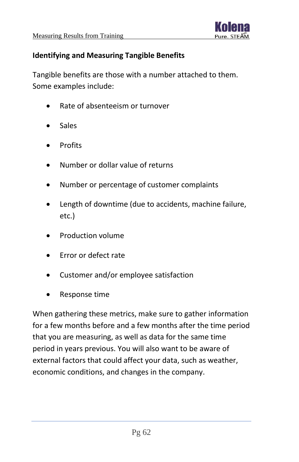

# **Identifying and Measuring Tangible Benefits**

Tangible benefits are those with a number attached to them. Some examples include:

- Rate of absenteeism or turnover
- **Sales**
- **Profits**
- Number or dollar value of returns
- Number or percentage of customer complaints
- Length of downtime (due to accidents, machine failure, etc.)
- Production volume
- Error or defect rate
- Customer and/or employee satisfaction
- Response time

When gathering these metrics, make sure to gather information for a few months before and a few months after the time period that you are measuring, as well as data for the same time period in years previous. You will also want to be aware of external factors that could affect your data, such as weather, economic conditions, and changes in the company.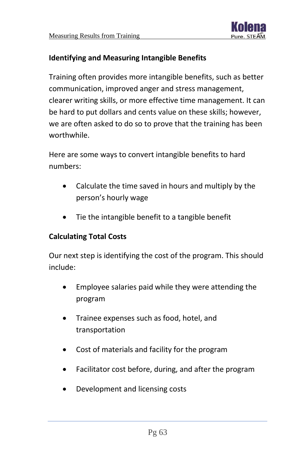

# **Identifying and Measuring Intangible Benefits**

Training often provides more intangible benefits, such as better communication, improved anger and stress management, clearer writing skills, or more effective time management. It can be hard to put dollars and cents value on these skills; however, we are often asked to do so to prove that the training has been worthwhile.

Here are some ways to convert intangible benefits to hard numbers:

- Calculate the time saved in hours and multiply by the person's hourly wage
- Tie the intangible benefit to a tangible benefit

# **Calculating Total Costs**

Our next step is identifying the cost of the program. This should include:

- Employee salaries paid while they were attending the program
- Trainee expenses such as food, hotel, and transportation
- Cost of materials and facility for the program
- Facilitator cost before, during, and after the program
- Development and licensing costs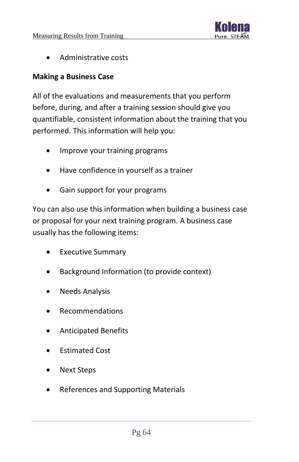

• Administrative costs

#### **Making a Business Case**

All of the evaluations and measurements that you perform before, during, and after a training session should give you quantifiable, consistent information about the training that you performed. This information will help you:

- Improve your training programs
- Have confidence in yourself as a trainer
- Gain support for your programs

You can also use this information when building a business case or proposal for your next training program. A business case usually has the following items:

- Executive Summary
- Background Information (to provide context)
- Needs Analysis
- Recommendations
- Anticipated Benefits
- Estimated Cost
- Next Steps
- References and Supporting Materials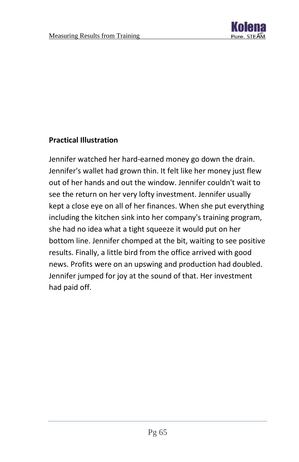

# **Practical Illustration**

Jennifer watched her hard-earned money go down the drain. Jennifer's wallet had grown thin. It felt like her money just flew out of her hands and out the window. Jennifer couldn't wait to see the return on her very lofty investment. Jennifer usually kept a close eye on all of her finances. When she put everything including the kitchen sink into her company's training program, she had no idea what a tight squeeze it would put on her bottom line. Jennifer chomped at the bit, waiting to see positive results. Finally, a little bird from the office arrived with good news. Profits were on an upswing and production had doubled. Jennifer jumped for joy at the sound of that. Her investment had paid off.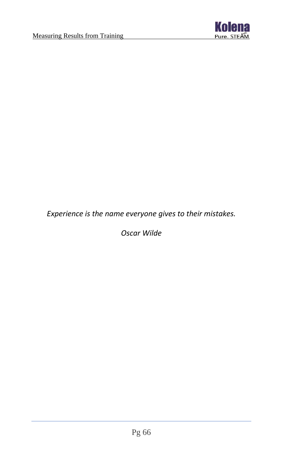

*Experience is the name everyone gives to their mistakes.*

*Oscar Wilde*